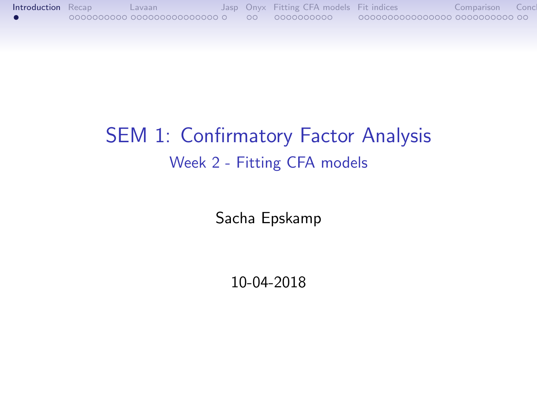# <span id="page-0-0"></span>SEM 1: Confirmatory Factor Analysis Week 2 - Fitting CFA models

Sacha Epskamp

10-04-2018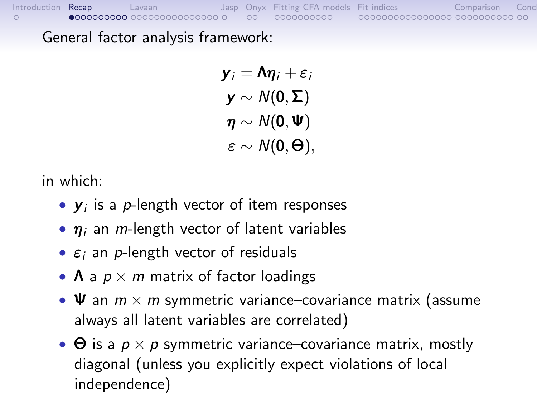<span id="page-1-0"></span>General factor analysis framework:

 $y_i = \Lambda \eta_i + \varepsilon_i$  $y \sim N(0, \Sigma)$  $\eta \sim N(0,\Psi)$  $\varepsilon \sim N(0,\Theta)$ ,

in which:

- $y_i$  is a p-length vector of item responses
- $\eta_i$  an *m*-length vector of latent variables
- $\varepsilon_i$  an *p*-length vector of residuals
- $\Lambda$  a  $p \times m$  matrix of factor loadings
- $\Psi$  an  $m \times m$  symmetric variance–covariance matrix (assume always all latent variables are correlated)
- $\Theta$  is a  $p \times p$  symmetric variance–covariance matrix, mostly diagonal (unless you explicitly expect violations of local independence)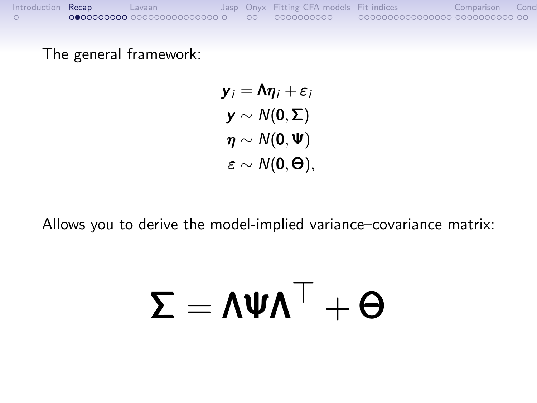The general framework:

$$
y_i = \Lambda \eta_i + \varepsilon_i
$$
  
\n
$$
y \sim N(0, \Sigma)
$$
  
\n
$$
\eta \sim N(0, \Psi)
$$
  
\n
$$
\varepsilon \sim N(0, \Theta),
$$

Allows you to derive the model-implied variance–covariance matrix:

# $\Sigma = \Lambda \Psi \Lambda^{\top} + \Theta$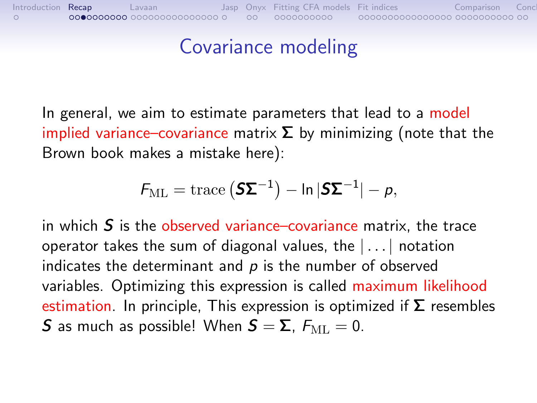#### Covariance modeling

In general, we aim to estimate parameters that lead to a model implied variance–covariance matrix  $\Sigma$  by minimizing (note that the Brown book makes a mistake here):

$$
\mathcal{F}_{\mathrm{ML}} = \mathrm{trace}\left(\mathbf{S} \mathbf{\Sigma}^{-1}\right) - \ln|\mathbf{S} \mathbf{\Sigma}^{-1}| - p,
$$

in which  $S$  is the observed variance–covariance matrix, the trace operator takes the sum of diagonal values, the  $| \dots |$  notation indicates the determinant and  $p$  is the number of observed variables. Optimizing this expression is called maximum likelihood estimation. In principle, This expression is optimized if  $\Sigma$  resembles **S** as much as possible! When  $S = \Sigma$ ,  $F_{ML} = 0$ .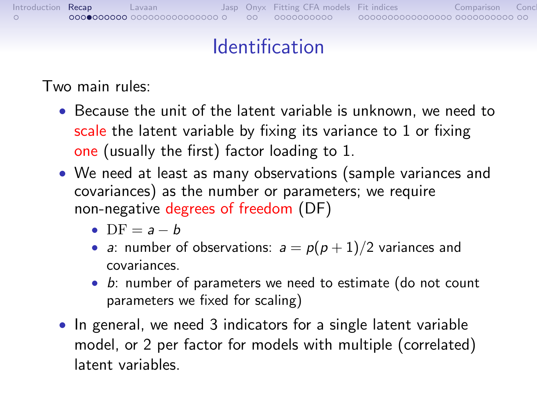## Identification

Two main rules:

- Because the unit of the latent variable is unknown, we need to scale the latent variable by fixing its variance to 1 or fixing one (usually the first) factor loading to 1.
- We need at least as many observations (sample variances and covariances) as the number or parameters; we require non-negative degrees of freedom (DF)
	- $DF = a b$
	- a: number of observations:  $a = p(p+1)/2$  variances and covariances.
	- b: number of parameters we need to estimate (do not count parameters we fixed for scaling)
- In general, we need 3 indicators for a single latent variable model, or 2 per factor for models with multiple (correlated) latent variables.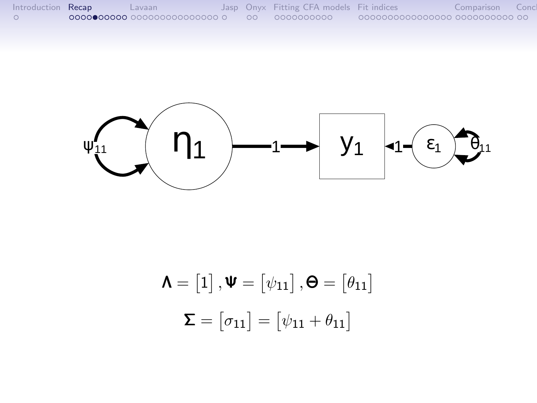| Introduction Recap | Lavaan                       |  | Jasp Onyx Fitting CFA models Fit indices |                                | Comparison |  |
|--------------------|------------------------------|--|------------------------------------------|--------------------------------|------------|--|
|                    | NOOO●00000 000000000000000 0 |  | 00 0000000000                            | 0000000000000000 0000000000 00 |            |  |



$$
\mathbf{\Lambda} = [1], \mathbf{\Psi} = [\psi_{11}], \mathbf{\Theta} = [\theta_{11}]
$$

$$
\mathbf{\Sigma} = [\sigma_{11}] = [\psi_{11} + \theta_{11}]
$$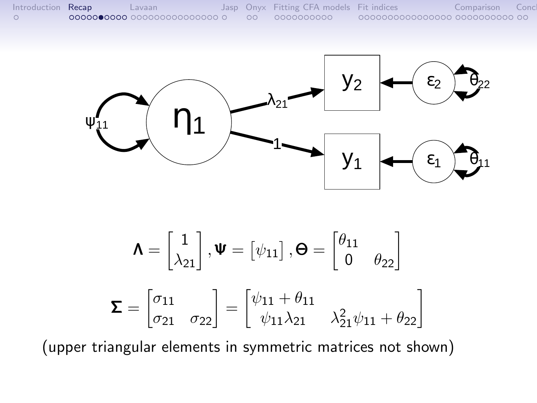



$$
\mathbf{\Lambda} = \begin{bmatrix} 1 \\ \lambda_{21} \end{bmatrix}, \mathbf{\Psi} = \begin{bmatrix} \psi_{11} \end{bmatrix}, \mathbf{\Theta} = \begin{bmatrix} \theta_{11} \\ 0 & \theta_{22} \end{bmatrix}
$$

$$
\mathbf{\Sigma} = \begin{bmatrix} \sigma_{11} \\ \sigma_{21} & \sigma_{22} \end{bmatrix} = \begin{bmatrix} \psi_{11} + \theta_{11} \\ \psi_{11} \lambda_{21} & \lambda_{21}^2 \psi_{11} + \theta_{22} \end{bmatrix}
$$

(upper triangular elements in symmetric matrices not shown)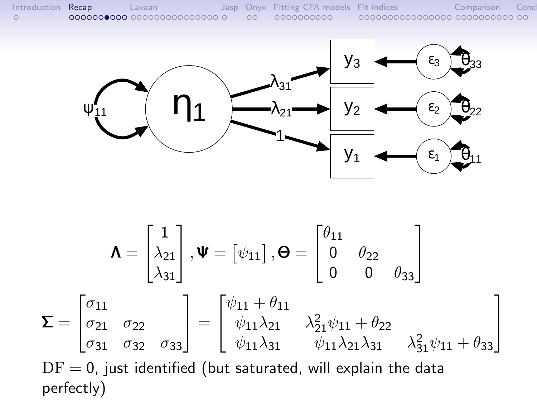

$$
\mathbf{\Lambda} = \begin{bmatrix} 1 \\ \lambda_{21} \\ \lambda_{31} \end{bmatrix}, \mathbf{\Psi} = \begin{bmatrix} \psi_{11} \end{bmatrix}, \mathbf{\Theta} = \begin{bmatrix} \theta_{11} \\ 0 & \theta_{22} \\ 0 & 0 & \theta_{33} \end{bmatrix}
$$

$$
\mathbf{\Sigma} = \begin{bmatrix} \sigma_{11} \\ \sigma_{21} & \sigma_{22} \\ \sigma_{31} & \sigma_{32} & \sigma_{33} \end{bmatrix} = \begin{bmatrix} \psi_{11} + \theta_{11} \\ \psi_{11} \lambda_{21} & \lambda_{21}^2 \psi_{11} + \theta_{22} \\ \psi_{11} \lambda_{31} & \psi_{11} \lambda_{21} \lambda_{31} & \lambda_{31}^2 \psi_{11} + \theta_{33} \end{bmatrix}
$$

$$
DF = 0, \text{ just identified (but saturated, will explain the data perfectly)}
$$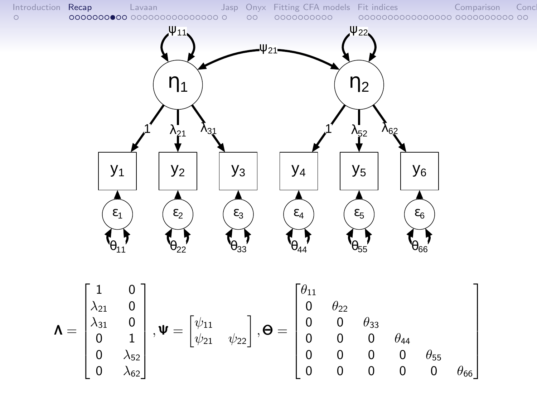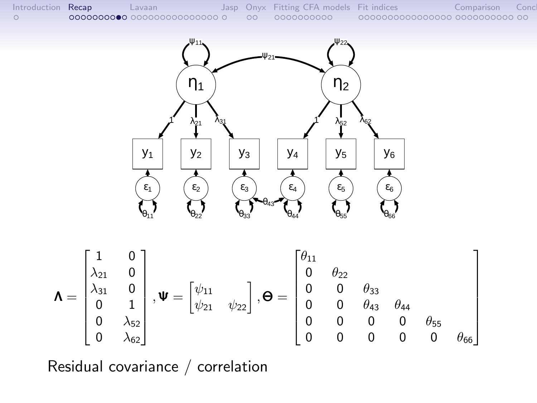

Residual covariance / correlation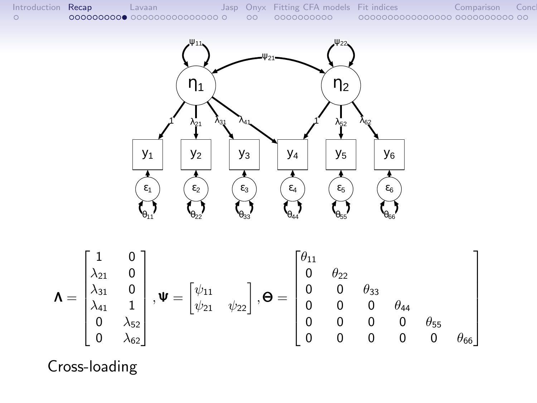

Cross-loading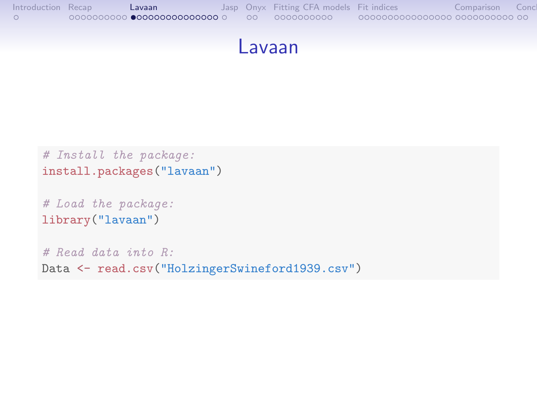```
Introduction Recap Lavaan Jasp Onyx Fitting CFA models Fit indices Comparison Conclusion
```
#### Lavaan

```
# Install the package:
install.packages("lavaan")
# Load the package:
library("lavaan")
# Read data into R:
Data <- read.csv("HolzingerSwineford1939.csv")
```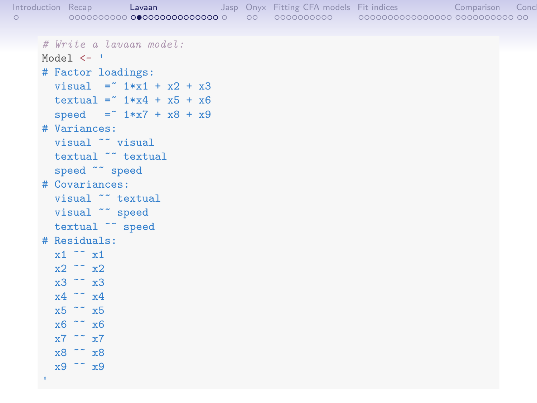```
Introduction Recap Lavaan Jasp Onyx Fitting CFA models Fit indices Comparison Conclusion
    # Write a lavaan model:
    Model <- '
    # Factor loadings:
      visual = 1*x1 + x2 + x3textual = " 1*x4 + x5 + x6speed = " 1*x7 + x8 + x9# Variances:
      visual ~~ visual
      textual ~~ textual
      speed ~~ speed
    # Covariances:
      visual ~~ textual
      visual ~~ speed
      textual ~~ speed
    # Residuals:
      x1 \sim x1x2 \sim x2x3 ~~ x3
      x4 \sim x4x5 ~~ x5
      x6 ~~ x6
      x7 \sim x7x8 ~~ x8
      x9 ~~ x9
```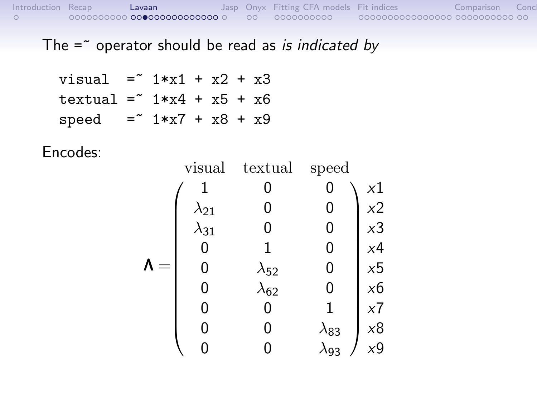The  $=$  operator should be read as is indicated by

$$
\begin{aligned}\n\text{visual} &= 1*x1 + x2 + x3 \\
\text{textual} &= 1*x4 + x5 + x6 \\
\text{speed} &= 1*x7 + x8 + x9\n\end{aligned}
$$

Encodes:

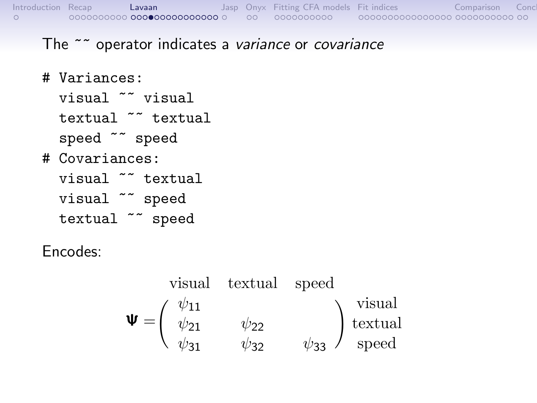#### The ~~ operator indicates a variance or covariance

- # Variances:
	- visual ~~ visual
	- textual ~~ textual
	- speed ~~ speed
- # Covariances:

visual ~~ textual visual ~~ speed textual ~~ speed

Encodes:

$$
\mathbf{\Psi} = \begin{pmatrix} \psi_{11} & \psi_{22} \\ \psi_{21} & \psi_{22} \\ \psi_{31} & \psi_{32} & \psi_{33} \end{pmatrix} \begin{pmatrix} \text{visual} \\ \text{textual} \\ \text{speed} \end{pmatrix}
$$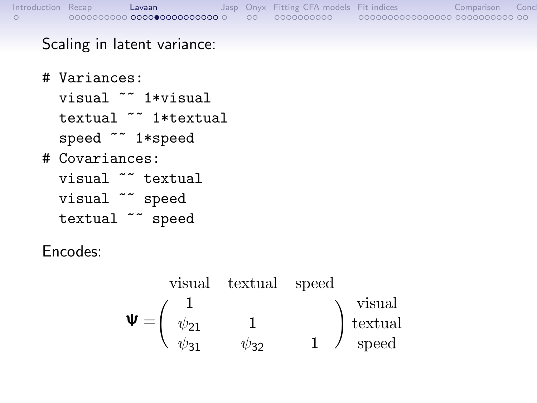#### Scaling in latent variance:

# Variances: visual ~~ 1\*visual textual ~~ 1\*textual speed ~~ 1\*speed # Covariances: visual ~~ textual visual ~~ speed textual ~~ speed

Encodes:

$$
\mathbf{\Psi} = \begin{pmatrix}\n1 & & & \\
\psi_{21} & 1 & \\
\psi_{31} & \psi_{32} & 1\n\end{pmatrix}\n\begin{matrix}\n\text{visual} \\
\text{tetual} \\
\text{speed}\n\end{matrix}
$$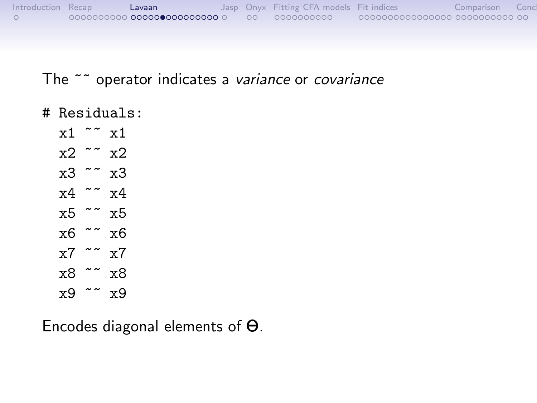| Introduction Recap | Lavaan                              |      | Jasp Onyx Fitting CFA models Fit indices |                                | Comparison |  |
|--------------------|-------------------------------------|------|------------------------------------------|--------------------------------|------------|--|
|                    | 0000000000 <b>000000000000000</b> 0 | - ററ | 0000000000                               | 0000000000000000 0000000000 00 |            |  |

#### The ~~ operator indicates a variance or covariance

- # Residuals:
	- $x1 \sim x1$  $x2 \sim x2$ x3 ~~ x3 x4 ~~ x4 x5 ~~ x5  $x6 \sim x6$  $x7 \sim x7$
	- x8 ~~ x8 x9 ~~ x9

Encodes diagonal elements of Θ.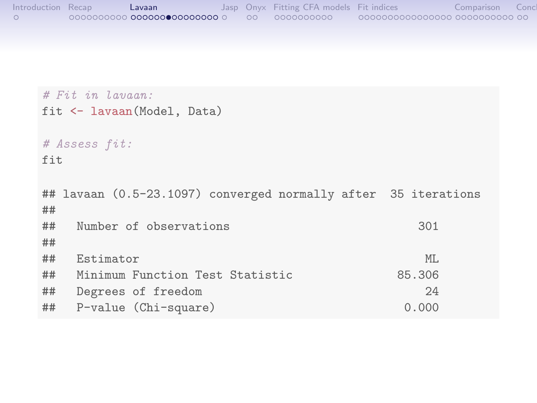```
Introduction Recap Lavaan Jasp Onyx Fitting CFA models Fit indices Comparison Conclusion
```

```
# Fit in Lavaan:
fit <- lavaan(Model, Data)
# Assess fit:
fit
## lavaan (0.5-23.1097) converged normally after 35 iterations
##
## Number of observations 301
##
## Estimator ML
## Minimum Function Test Statistic 85.306
## Degrees of freedom 24
## P-value (Chi-square) 0.000
```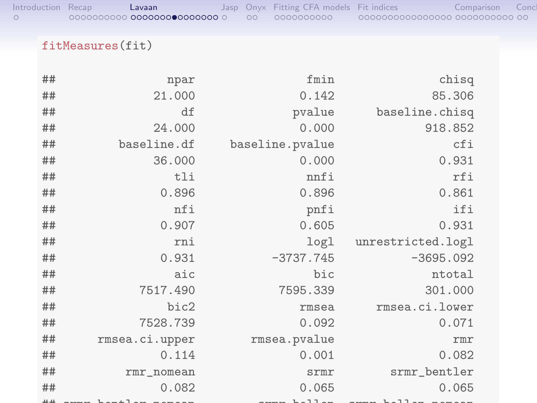| Introduction Recap | Lavaan                         |  | Jasp Onyx Fitting CFA models Fit indices |                                | Comparison | Conc |
|--------------------|--------------------------------|--|------------------------------------------|--------------------------------|------------|------|
|                    | 00000000000 0000000000000000 0 |  | 0000000000                               | 0000000000000000 0000000000 00 |            |      |

#### fitMeasures(fit)

| ## | npar           | fmin             | chisq             |
|----|----------------|------------------|-------------------|
| ## | 21.000         | 0.142            | 85.306            |
| ## | df             | pvalue           | baseline.chisq    |
| ## | 24.000         | 0.000            | 918.852           |
| ## | baseline.df    | baseline.pvalue  | cfi               |
| ## | 36.000         | 0.000            | 0.931             |
| ## | tli            | nnfi             | rfi               |
| ## | 0.896          | 0.896            | 0.861             |
| ## | nfi            | pnfi             | ifi               |
| ## | 0.907          | 0.605            | 0.931             |
| ## | rni            | log <sub>1</sub> | unrestricted.logl |
| ## | 0.931          | $-3737.745$      | $-3695.092$       |
| ## | aic            | bic              | ntotal            |
| ## | 7517.490       | 7595.339         | 301.000           |
| ## | bic2           | rmsea            | rmsea.ci.lower    |
| ## | 7528.739       | 0.092            | 0.071             |
| ## | rmsea.ci.upper | rmsea.pvalue     | rmr               |
| ## | 0.114          | 0.001            | 0.082             |
| ## | rmr_nomean     | srmr             | srmr_bentler      |
| ## | 0.082          | 0.065            | 0.065             |
|    |                |                  |                   |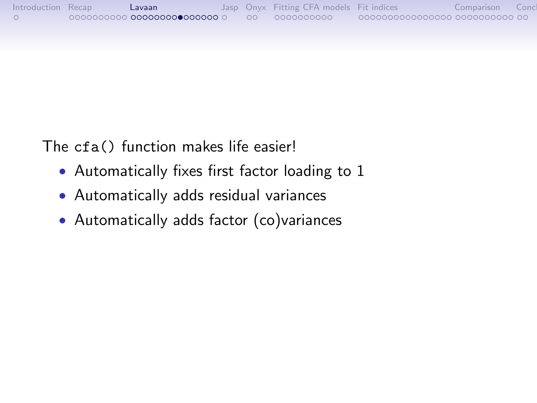| Introduction Recap | Lavaan                               |  | Jasp Onyx Fitting CFA models Fit indices |                                | Comparison |  |
|--------------------|--------------------------------------|--|------------------------------------------|--------------------------------|------------|--|
|                    | 0000000000 <b>00000000 0000000</b> 0 |  | 00 0000000000                            | 0000000000000000 0000000000 00 |            |  |

The cfa() function makes life easier!

- Automatically fixes first factor loading to 1
- Automatically adds residual variances
- Automatically adds factor (co)variances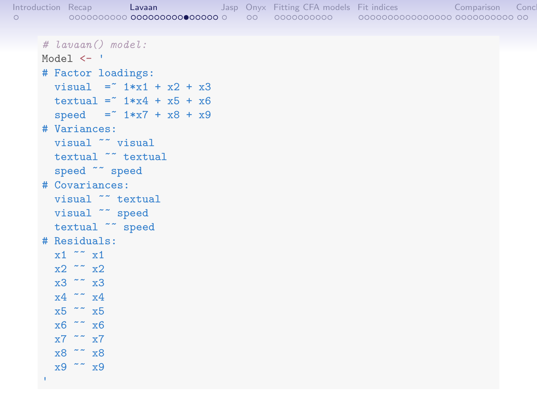| Introduction Recap<br>$\circ$ |                             |  | Lavaan |  |  | Jasp Onyx Fitting CFA models Fit indices The Comparison | Concl |
|-------------------------------|-----------------------------|--|--------|--|--|---------------------------------------------------------|-------|
|                               |                             |  |        |  |  |                                                         |       |
|                               | $\#$ lavaan() model:        |  |        |  |  |                                                         |       |
|                               | Model $\leq$ $\leq$         |  |        |  |  |                                                         |       |
|                               | # Factor loadings:          |  |        |  |  |                                                         |       |
|                               | visual = $*1*x1 + x2 + x3$  |  |        |  |  |                                                         |       |
|                               | textual = $*1*x4 + x5 + x6$ |  |        |  |  |                                                         |       |
|                               | speed = $1*x7 + x8 + x9$    |  |        |  |  |                                                         |       |
|                               |                             |  |        |  |  |                                                         |       |

# Variances:

```
visual ~~ visual
textual ~~ textual
```
speed ~~ speed

# Covariances:

```
visual ~~ textual
```
visual  $\sim$  speed

```
textual ~~ speed
```

```
# Residuals:
```

```
x1 \sim x1x2 \sim x2x3 ~~ x3
x4 \sim x4x5 ~~ x5
```

```
x6 ~~ x6
x7 \sim x7x8 ~~ x8
```
x9 ~~ x9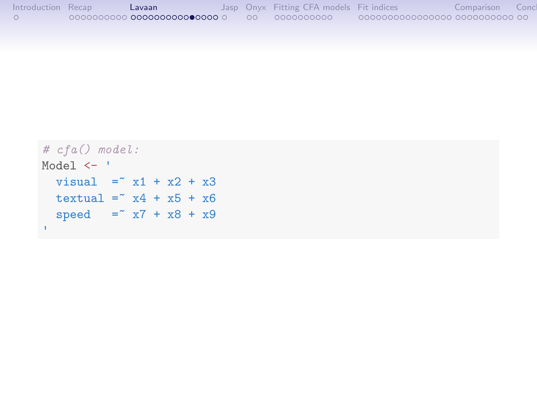| Introduction Recap | Lavaan                              |  | Jasp Onyx Fitting CFA models Fit indices |                                 | Comparison | Conc |
|--------------------|-------------------------------------|--|------------------------------------------|---------------------------------|------------|------|
|                    | 0000000000 <b>000000000000000</b> 0 |  | 00 0000000000                            | 00000000000000000 0000000000 00 |            |      |

```
# cfa() model:
Model <- '
visual = x1 + x2 + x3text{textual} = x4 + x5 + x6speed = x7 + x8 + x9'
```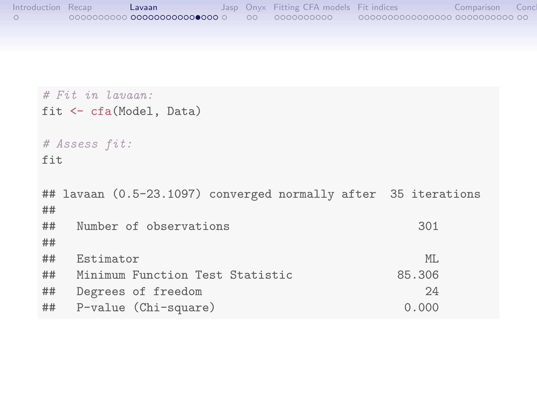```
Introduction Recap Lavaan Jasp Onyx Fitting CFA models Fit indices Comparison Conclusion
```

```
# Fit in Lavaan:
fit <- cfa(Model, Data)
# Assess fit:
fit
## lavaan (0.5-23.1097) converged normally after 35 iterations
##
## Number of observations 301
##
## Estimator ML
## Minimum Function Test Statistic 85.306
## Degrees of freedom 24
## P-value (Chi-square) 0.000
```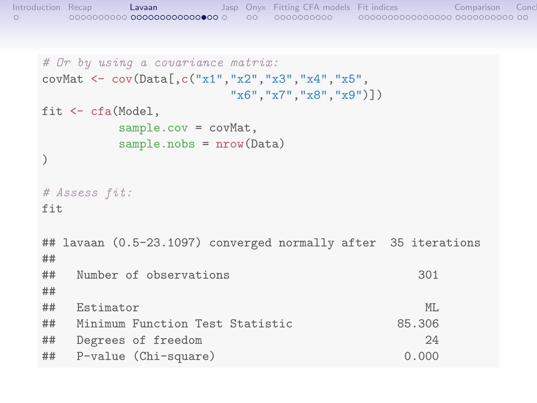```
Introduction Recap Lavaan Jasp Onyx Fitting CFA models Fit indices Comparison Conclusion
```

```
# Or by using a covariance matrix:
covMat <- cov(Data[,c("x1","x2","x3","x4","x5",
                    "x6","x7","x8","x9")])
fit <- cfa(Model,
        sample.cov = covMat,
        sample.nobs = nrow(Data)
)
# Assess fit:
fit
## lavaan (0.5-23.1097) converged normally after 35 iterations
##
## Number of observations 301
##
## Estimator ML
## Minimum Function Test Statistic 85.306
## Degrees of freedom 24
## P-value (Chi-square) 0.000
```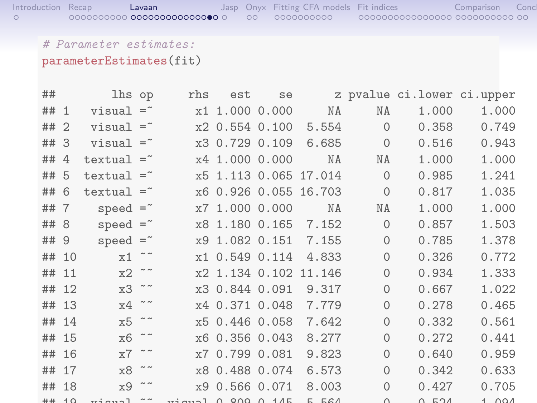#### # Parameter estimates:

#### parameterEstimates(fit)

| ##         |       | lhs op                  |               | rhs               | est                                                                           | se |                       |              | z pvalue ci.lower ci.upper |       |
|------------|-------|-------------------------|---------------|-------------------|-------------------------------------------------------------------------------|----|-----------------------|--------------|----------------------------|-------|
| ## 1       |       | $v$ isual = $\tilde{ }$ |               |                   | x1 1.000 0.000                                                                |    | NA                    | NA           | 1.000                      | 1.000 |
| ## 2       |       | $visual =$              |               |                   | x2 0.554 0.100                                                                |    | 5.554                 | $\Omega$     | 0.358                      | 0.749 |
| ## 3       |       | $visual =$              |               |                   | x3 0.729 0.109                                                                |    | 6.685                 | $\mathbf{0}$ | 0.516                      | 0.943 |
| ## 4       |       | textual $=$             |               |                   | x4 1.000 0.000                                                                |    | ΝA                    | ΝA           | 1.000                      | 1.000 |
| ## 5       |       | textual $=$             |               |                   |                                                                               |    | x5 1.113 0.065 17.014 | $\Omega$     | 0.985                      | 1.241 |
| ## 6       |       | textual $=$             |               |                   |                                                                               |    | x6 0.926 0.055 16.703 | $\mathbf{0}$ | 0.817                      | 1.035 |
| ## 7       |       | speed $=$               |               |                   | x7 1.000 0.000                                                                |    | NA                    | NA           | 1.000                      | 1.000 |
| ##         | -8    | speed $=$               |               |                   | x8 1.180 0.165                                                                |    | 7.152                 | $\mathbf{0}$ | 0.857                      | 1.503 |
| ## 9       |       | $speed =$               |               |                   | x9 1.082 0.151                                                                |    | 7.155                 | $\mathbf{0}$ | 0.785                      | 1.378 |
| ## 10      |       | x1                      |               |                   | x1 0.549 0.114                                                                |    | 4.833                 | $\mathbf{0}$ | 0.326                      | 0.772 |
| ## 11      |       | $x2 \tilde{z}$          |               |                   |                                                                               |    | x2 1.134 0.102 11.146 | $\mathbf{0}$ | 0.934                      | 1.333 |
| ##         | 12    | $x3 \sim$               |               |                   | x3 0.844 0.091                                                                |    | 9.317                 | $\mathbf{0}$ | 0.667                      | 1.022 |
| ## 13      |       | $x4 \sim$               |               |                   | x4 0.371 0.048                                                                |    | 7.779                 | $\mathbf{0}$ | 0.278                      | 0.465 |
| ## 14      |       | x5                      | $\sim$ $\sim$ |                   | x5 0.446 0.058                                                                |    | 7.642                 | $\mathbf{0}$ | 0.332                      | 0.561 |
| ## 15      |       | x <sub>6</sub>          |               |                   | x6 0.356 0.043                                                                |    | 8.277                 | $\mathbf{0}$ | 0.272                      | 0.441 |
|            | ## 16 | x7                      |               |                   | x7 0.799 0.081                                                                |    | 9.823                 | $\mathbf{0}$ | 0.640                      | 0.959 |
| ##         | 17    | x8                      |               |                   | x8 0.488 0.074                                                                |    | 6.573                 | 0            | 0.342                      | 0.633 |
|            | ## 18 | x9                      |               |                   | x9 0.566 0.071                                                                |    | 8.003                 | $\mathbf{0}$ | 0.427                      | 0.705 |
| $+ + + 10$ |       |                         | $\sim$ $\sim$ | $\cdots$ $\cdots$ | $\begin{array}{ccc}\n\bigcap & Q \cap \Omega & \cap & 1 \land E\n\end{array}$ |    | F F G A               | $\cap$       | ドウイ<br>$\cap$              | 1.001 |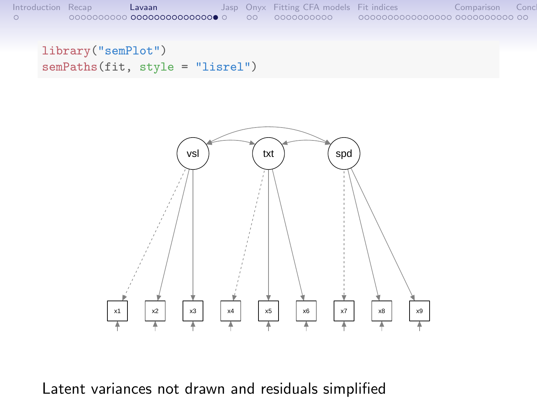

library("semPlot") semPaths(fit, style = "lisrel")



Latent variances not drawn and residuals simplified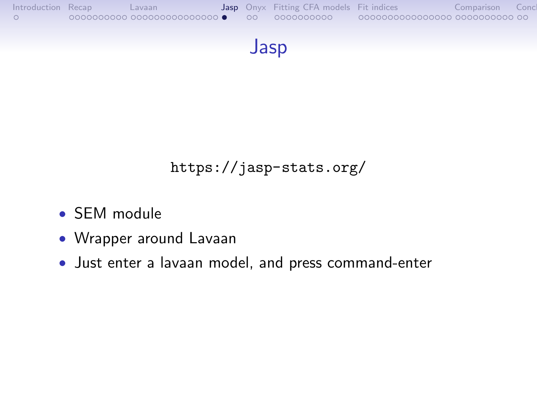<span id="page-26-0"></span>



<https://jasp-stats.org/>

- SEM module
- Wrapper around Lavaan
- Just enter a lavaan model, and press command-enter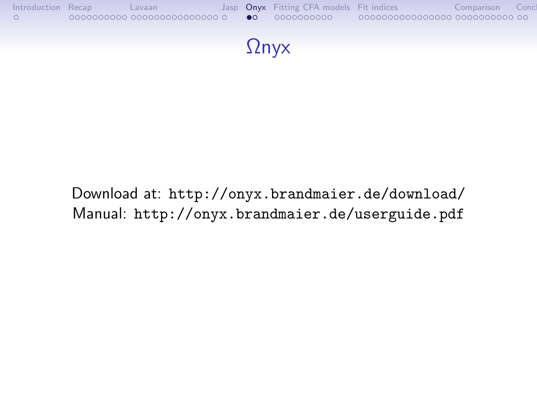<span id="page-27-0"></span>

Download at: <http://onyx.brandmaier.de/download/> Manual: <http://onyx.brandmaier.de/userguide.pdf>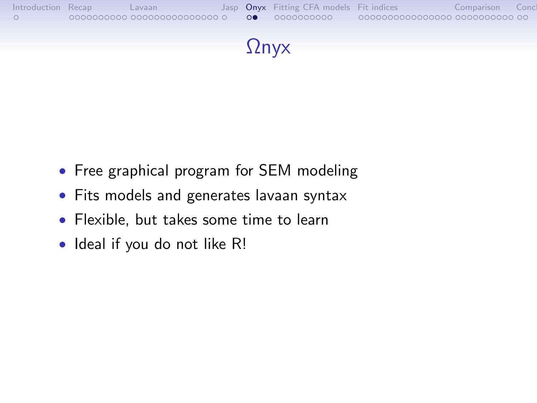

- Free graphical program for SEM modeling
- Fits models and generates lavaan syntax
- Flexible, but takes some time to learn
- Ideal if you do not like R!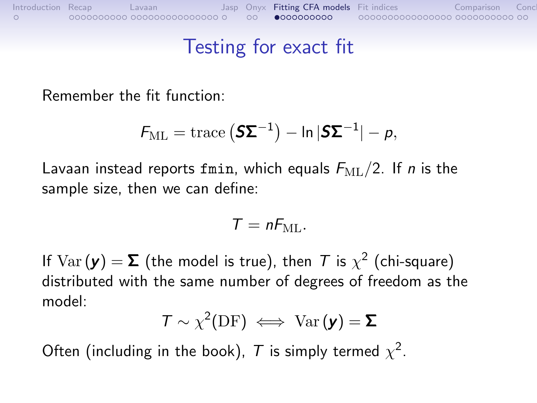#### Testing for exact fit

<span id="page-29-0"></span>Remember the fit function:

$$
F_{\mathrm{ML}} = \mathrm{trace}\left(\mathbf{S}\mathbf{\Sigma}^{-1}\right) - \ln|\mathbf{S}\mathbf{\Sigma}^{-1}| - p,
$$

Lavaan instead reports fmin, which equals  $F_{ML}/2$ . If *n* is the sample size, then we can define:

$$
T=nF_{\rm ML}.
$$

If  $\text{Var}(\mathbf{y}) = \mathbf{\Sigma}$  (the model is true), then  $\mathcal T$  is  $\chi^2$  (chi-square) distributed with the same number of degrees of freedom as the model:

$$
T \sim \chi^2(\text{DF}) \iff \text{Var}(\mathbf{y}) = \mathbf{\Sigma}
$$

Often (including in the book),  $T$  is simply termed  $\chi^2$ .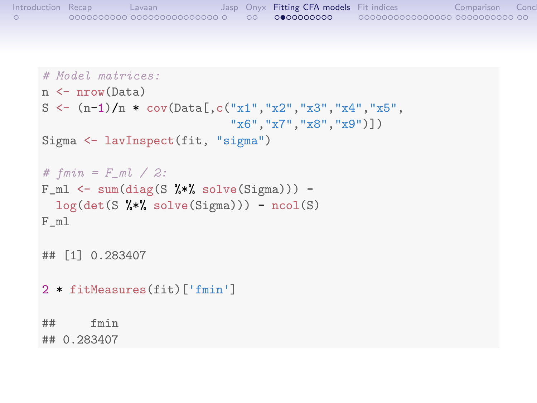```
Introduction Recap Lavaan Jasp Onyx Fitting CFA models Fit indices Comparison Conclusion
```

```
# Model matrices:
n <- nrow(Data)
S \leftarrow (n-1)/n * cov(Data[, c("x1", "x2", "x3", "x4", "x5","x6","x7","x8","x9")])
Sigma <- lavInspect(fit, "sigma")
# fmin = F_ml / 2:
F_m1 \leftarrow \text{sum}(\text{diag}(S \ \text{%}) \cdot \text{solve}(\text{Sigma}))) -log(det(S \, % * \, % solve(Sigma))) - ncol(S)F_ml
## [1] 0.283407
2 * fitMeasures(fit)['fmin']
## fmin
## 0.283407
```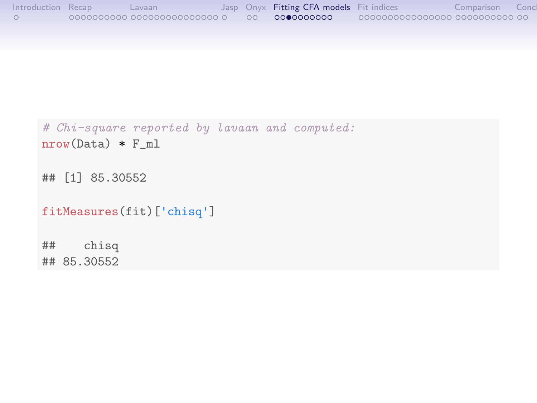```
Introduction Recap Lavaan Jasp Onyx Fitting CFA models Fit indices Comparison Conclusion
```

```
# Chi-square reported by lavaan and computed:
nrow(Data) * F_ml
```
## [1] 85.30552

```
fitMeasures(fit)['chisq']
```
## chisq ## 85.30552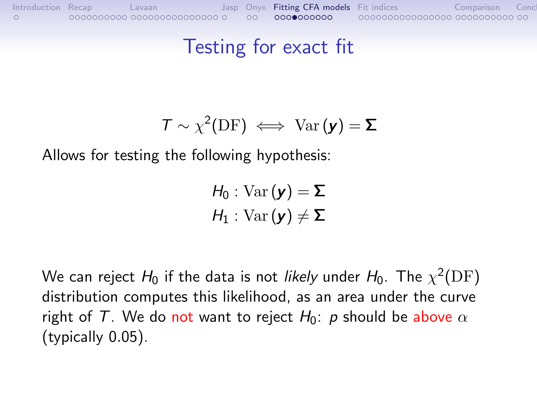#### Testing for exact fit

$$
T \sim \chi^2(\text{DF}) \iff \text{Var}(\mathbf{y}) = \mathbf{\Sigma}
$$

Allows for testing the following hypothesis:

$$
H_0: \mathrm{Var}(\mathbf{y}) = \mathbf{\Sigma}
$$

$$
H_1: \mathrm{Var}(\mathbf{y}) \neq \mathbf{\Sigma}
$$

We can reject  $H_0$  if the data is not *likely* under  $H_0.$  The  $\chi^2(\mathrm{DF})$ distribution computes this likelihood, as an area under the curve right of T. We do not want to reject  $H_0$ : p should be above  $\alpha$ (typically 0.05).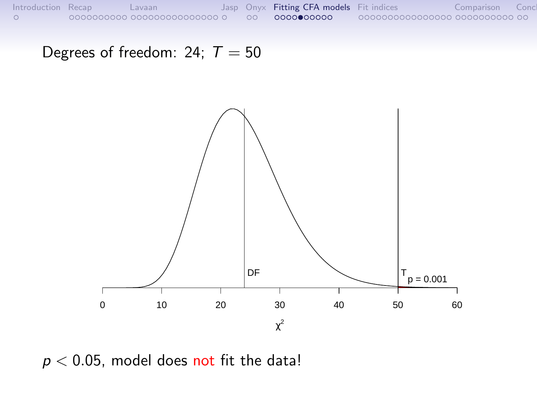Degrees of freedom: 24;  $T = 50$ 



 $p < 0.05$ , model does not fit the data!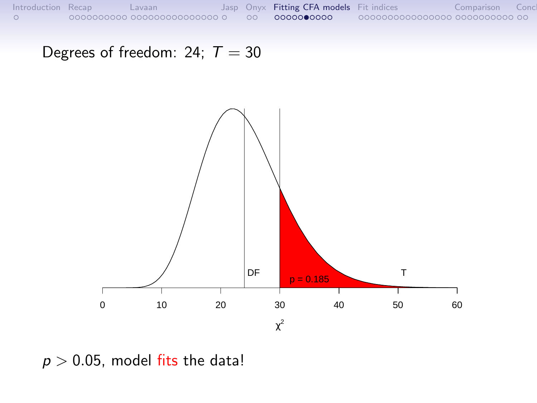Degrees of freedom: 24;  $T = 30$ 



 $p > 0.05$ , model fits the data!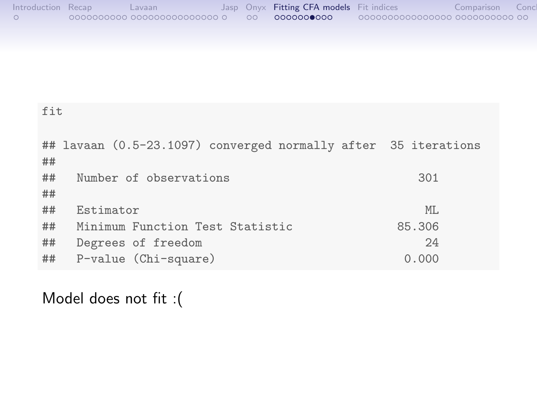| Introduction Recap | Lavaan |  | Jasp Onyx Fitting CFA models Fit indices |                                 | Comparison | Conc |
|--------------------|--------|--|------------------------------------------|---------------------------------|------------|------|
|                    |        |  | 0000000000                               | 00000000000000000 0000000000 00 |            |      |

| fit |                                                                |        |  |  |
|-----|----------------------------------------------------------------|--------|--|--|
| ##  | ## lavaan (0.5-23.1097) converged normally after 35 iterations |        |  |  |
| ##  | Number of observations                                         | 301    |  |  |
| ##  |                                                                |        |  |  |
| ##  | Estimator                                                      | ML.    |  |  |
| ##  | Minimum Function Test Statistic                                | 85.306 |  |  |
| ##  | Degrees of freedom                                             | 24     |  |  |
| ##  | P-value (Chi-square)                                           | 0.000  |  |  |

Model does not fit :(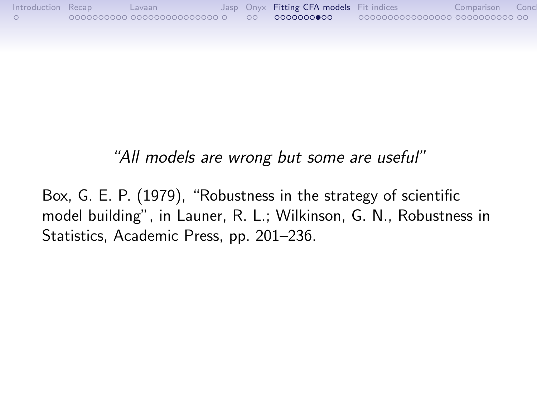#### "All models are wrong but some are useful"

Box, G. E. P. (1979), "Robustness in the strategy of scientific model building", in Launer, R. L.; Wilkinson, G. N., Robustness in Statistics, Academic Press, pp. 201–236.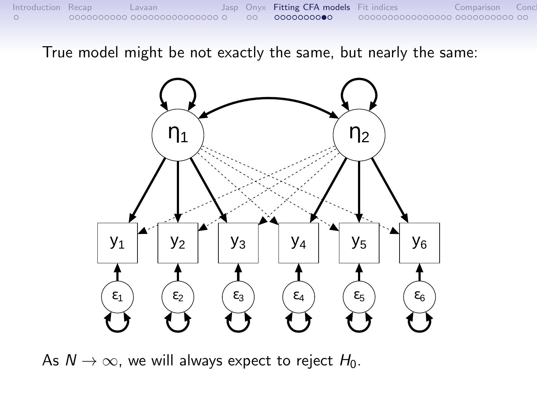True model might be not exactly the same, but nearly the same:



As  $N \to \infty$ , we will always expect to reject  $H_0$ .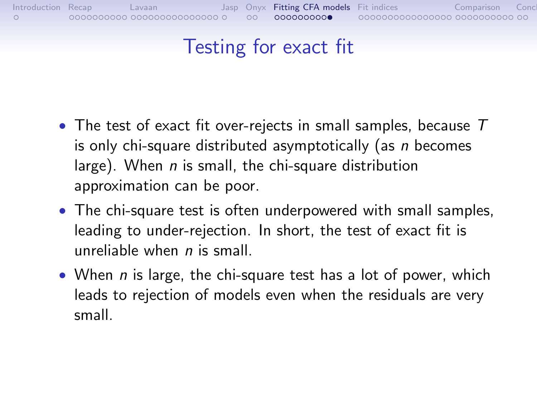# Testing for exact fit

- The test of exact fit over-rejects in small samples, because  $T$ is only chi-square distributed asymptotically (as n becomes large). When  $n$  is small, the chi-square distribution approximation can be poor.
- The chi-square test is often underpowered with small samples, leading to under-rejection. In short, the test of exact fit is unreliable when  $n$  is small.
- When  $n$  is large, the chi-square test has a lot of power, which leads to rejection of models even when the residuals are very small.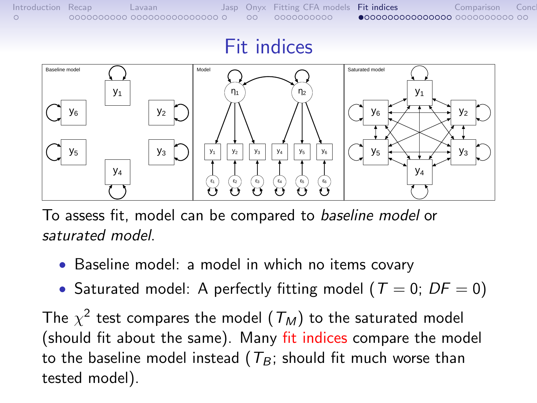#### Fit indices

<span id="page-39-0"></span>

To assess fit, model can be compared to baseline model or saturated model.

- Baseline model: a model in which no items covary
- Saturated model: A perfectly fitting model ( $T = 0$ ;  $DF = 0$ )

The  $\chi^2$  test compares the model  $(\mathcal{T}_M)$  to the saturated model (should fit about the same). Many fit indices compare the model to the baseline model instead ( $T_B$ ; should fit much worse than tested model).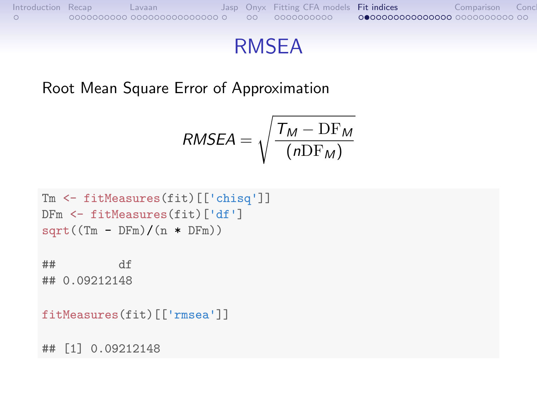

## RMSEA

Root Mean Square Error of Approximation

$$
RMSEA = \sqrt{\frac{T_M - DF_M}{(nDF_M)}}
$$

```
Tm <- fitMeasures(fit)[['chisq']]
DFm <- fitMeasures(fit)['df']
sqrt((Tm - DFm)/(n * DFm))
```

```
## df
## 0.09212148
```

```
fitMeasures(fit)[['rmsea']]
```
## [1] 0.09212148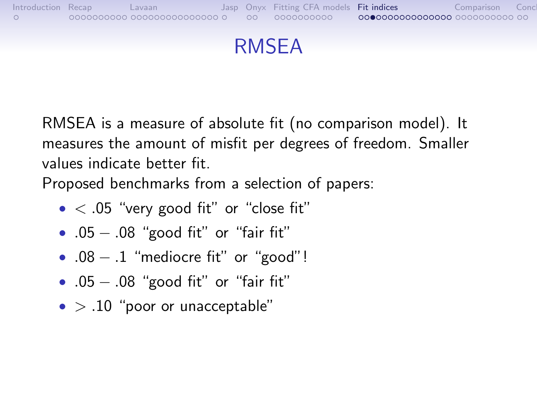

#### RMSEA

RMSEA is a measure of absolute fit (no comparison model). It measures the amount of misfit per degrees of freedom. Smaller values indicate better fit.

Proposed benchmarks from a selection of papers:

- $\bullet$  < .05 "very good fit" or "close fit"
- .05 − .08 "good fit" or "fair fit"
- $.08 .1$  "mediocre fit" or "good"!
- .05 − .08 "good fit" or "fair fit"
- $\bullet$  > .10 "poor or unacceptable"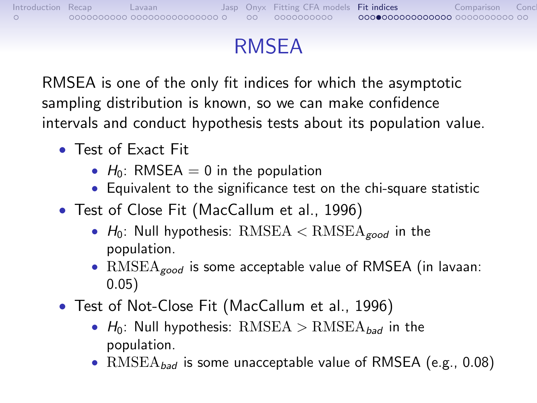# RMSEA

RMSEA is one of the only fit indices for which the asymptotic sampling distribution is known, so we can make confidence intervals and conduct hypothesis tests about its population value.

- Test of Exact Fit
	- $H_0$ : RMSEA = 0 in the population
	- Equivalent to the significance test on the chi-square statistic
- Test of Close Fit (MacCallum et al., 1996)
	- $H_0$ : Null hypothesis: RMSEA  $\lt$  RMSEA<sub>good</sub> in the population.
	- $RMSEA_{good}$  is some acceptable value of RMSEA (in lavaan: 0.05)
- Test of Not-Close Fit (MacCallum et al., 1996)
	- $H_0$ : Null hypothesis: RMSEA > RMSEA<sub>bad</sub> in the population.
	- $RMSEA_{bad}$  is some unacceptable value of RMSEA (e.g., 0.08)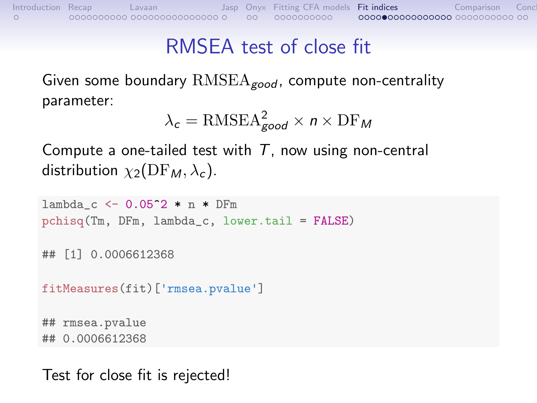## RMSEA test of close fit

Given some boundary  $RMSEA_{good}$ , compute non-centrality parameter:

$$
\lambda_c = \text{RMSEA}_{good}^2 \times n \times \text{DF}_M
$$

Compute a one-tailed test with  $T$ , now using non-central distribution  $\chi_2(\text{DF}_M, \lambda_c)$ .

```
lambda_c < -0.05 2 * n * DFm
pchisq(Tm, DFm, lambda_c, lower.tail = FALSE)
## [1] 0.0006612368
fitMeasures(fit)['rmsea.pvalue']
## rmsea.pvalue
## 0.0006612368
```
Test for close fit is rejected!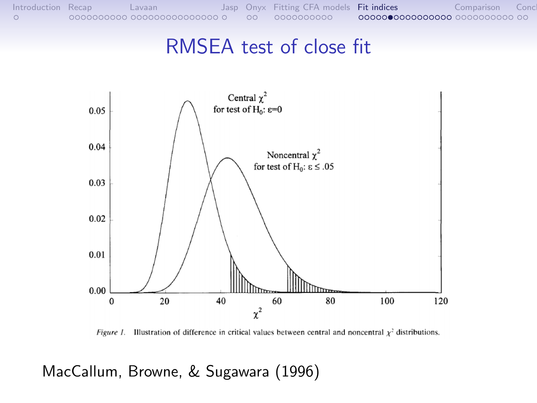#### RMSEA test of close fit



*Figure 1.* Illustration of difference in critical values between central and noncentral  $\chi^2$  distributions.

MacCallum, Browne, & Sugawara (1996)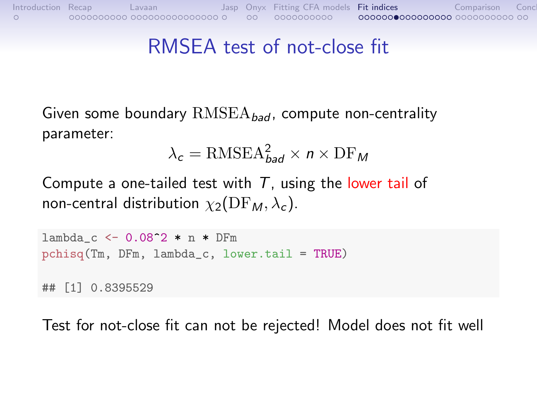## RMSEA test of not-close fit

Given some boundary  $RMSEA_{bad}$ , compute non-centrality parameter:

$$
\lambda_c = \text{RMSEA}_{\text{bad}}^2 \times n \times \text{DF}_M
$$

Compute a one-tailed test with  $T$ , using the lower tail of non-central distribution  $\chi_2(\text{DF}_M, \lambda_c)$ .

 $lambda_c < -0.08^2 * n * DFm$ pchisq(Tm, DFm, lambda\_c, lower.tail = TRUE) ## [1] 0.8395529

Test for not-close fit can not be rejected! Model does not fit well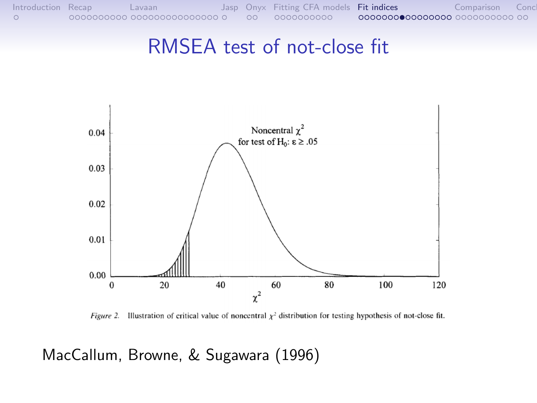#### RMSEA test of not-close fit



Figure 2. Illustration of critical value of noncentral  $\chi^2$  distribution for testing hypothesis of not-close fit.

MacCallum, Browne, & Sugawara (1996)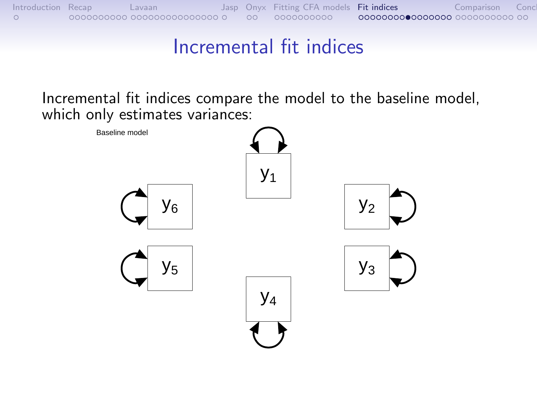

#### Incremental fit indices

Incremental fit indices compare the model to the baseline model, which only estimates variances:

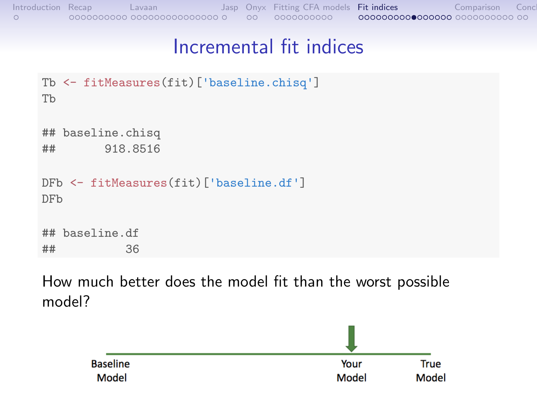```
Introduction Recap Lavaan Jasp Onyx Fitting CFA models Fit indices Comparison Conclusion
```
#### Incremental fit indices

```
Tb <- fitMeasures(fit)['baseline.chisq']
Tb
## baseline.chisq
## 918.8516
DFb <- fitMeasures(fit)['baseline.df']
DFb
## baseline.df
## 36
```
How much better does the model fit than the worst possible model?

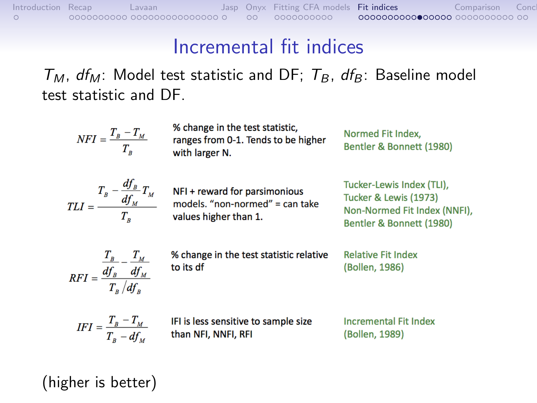#### Incremental fit indices

 $T_M$ , df<sub>M</sub>: Model test statistic and DF;  $T_B$ , df<sub>B</sub>: Baseline model test statistic and DF.

 $NFI = \frac{T_B - T_M}{T_p}$ 

% change in the test statistic. ranges from 0-1. Tends to be higher with larger N.

Normed Fit Index, Bentler & Bonnett (1980)

| $TLI=-$ | $-\frac{df_B}{d}T_M$<br>$T_{R}$<br>$df_{M}$ |  |
|---------|---------------------------------------------|--|
|         | T.                                          |  |

NFI + reward for parsimonious models. "non-normed" = can take values higher than 1.

Tucker-Lewis Index (TLI), Tucker & Lewis (1973) Non-Normed Fit Index (NNFI), Bentler & Bonnett (1980)

$$
RFI = \frac{\frac{T_B}{df_B} - \frac{T_M}{df_M}}{T_B/df_B}
$$

% change in the test statistic relative to its df

**Relative Fit Index** (Bollen, 1986)

$$
IFI = \frac{T_B - T_M}{T_B - df_M}
$$

IFI is less sensitive to sample size than NFI, NNFI, RFI

**Incremental Fit Index** (Bollen, 1989)

(higher is better)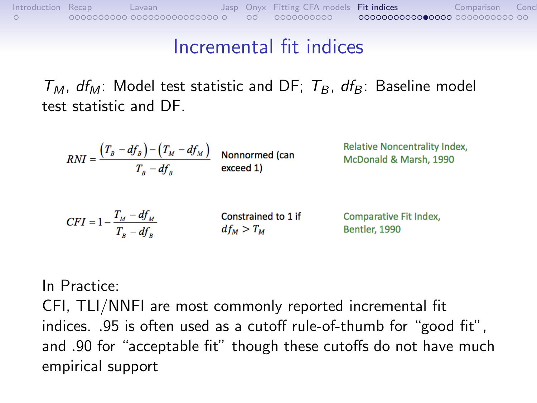#### Incremental fit indices

 $T_M$ ,  $df_M$ : Model test statistic and DF;  $T_B$ ,  $df_B$ : Baseline model test statistic and DF.

$$
RNI = \frac{(T_B - df_B) - (T_M - df_M)}{T_B - df_B}
$$
 Nonnormed (can  
exceed 1)  
exceed 1)

| $CFI = 1 - \frac{T_M - df_M}{\sqrt{2\pi}}$ | Constrained to 1 if | <b>Comparative Fit Index</b> |
|--------------------------------------------|---------------------|------------------------------|
| $T_{R}-df_{R}$                             | $df_M > T_M$        | <b>Bentler, 1990</b>         |

In Practice:

CFI, TLI/NNFI are most commonly reported incremental fit indices. .95 is often used as a cutoff rule-of-thumb for "good fit", and .90 for "acceptable fit" though these cutoffs do not have much empirical support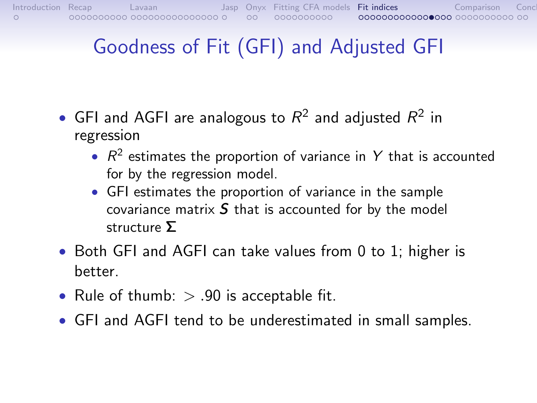# Goodness of Fit (GFI) and Adjusted GFI

- GFI and AGFI are analogous to  $R^2$  and adjusted  $R^2$  in regression
	- $R^2$  estimates the proportion of variance in Y that is accounted for by the regression model.
	- GFI estimates the proportion of variance in the sample covariance matrix  $S$  that is accounted for by the model structure Σ
- Both GFI and AGFI can take values from 0 to 1; higher is better.
- Rule of thumb:  $> .90$  is acceptable fit.
- GFI and AGFI tend to be underestimated in small samples.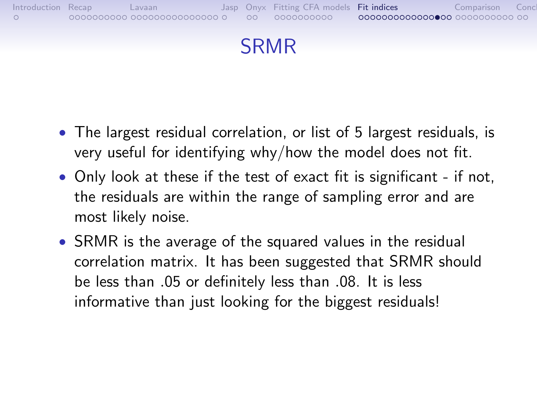



- The largest residual correlation, or list of 5 largest residuals, is very useful for identifying why/how the model does not fit.
- Only look at these if the test of exact fit is significant if not, the residuals are within the range of sampling error and are most likely noise.
- SRMR is the average of the squared values in the residual correlation matrix. It has been suggested that SRMR should be less than .05 or definitely less than .08. It is less informative than just looking for the biggest residuals!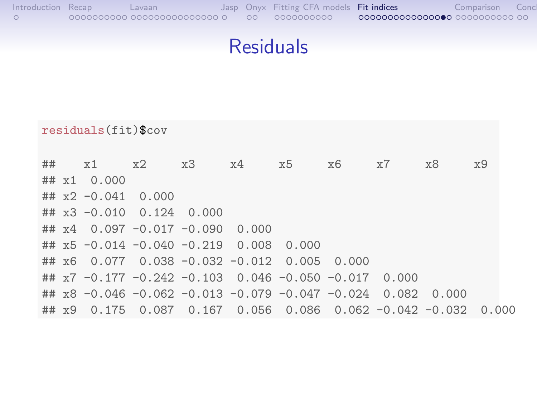| Introduction Recap | Lavaan |                    | Jasp Onyx Fitting CFA models Fit indices | Comparison |  |
|--------------------|--------|--------------------|------------------------------------------|------------|--|
|                    |        | $\circ$ 00 $\circ$ | 0000000000                               |            |  |

# Residuals

|    |               | $residuals(fit)$ \$cov |                                                         |       |       |       |       |                         |       |       |
|----|---------------|------------------------|---------------------------------------------------------|-------|-------|-------|-------|-------------------------|-------|-------|
| ## |               | x1                     | x2                                                      | x3    | x4    | x5    | x6    | x7                      | x8    | x9    |
|    |               | $\#$ # $x1$ 0.000      |                                                         |       |       |       |       |                         |       |       |
|    |               | ## $x2 -0.041$         | 0.000                                                   |       |       |       |       |                         |       |       |
|    |               |                        | $\#$ # $x3 - 0.010$ 0.124                               | 0.000 |       |       |       |                         |       |       |
|    |               |                        | $\#$ # x4 0.097 -0.017 -0.090                           |       | 0.000 |       |       |                         |       |       |
|    |               |                        | $\#$ # $x5 -0.014 -0.040 -0.219 0.008$                  |       |       | 0.000 |       |                         |       |       |
|    |               |                        | ## $x6$ 0.077 0.038 -0.032 -0.012 0.005                 |       |       |       | 0.000 |                         |       |       |
|    |               |                        | ## $x7 -0.177 -0.242 -0.103 -0.046 -0.050 -0.017$       |       |       |       |       | 0.000                   |       |       |
|    |               |                        | ## $x8 - 0.046 - 0.062 - 0.013 - 0.079 - 0.047 - 0.024$ |       |       |       |       | 0.082                   | 0.000 |       |
|    | $## \times 9$ | 0.175                  | 0.087                                                   | 0.167 | 0.056 | 0.086 |       | $0.062 - 0.042 - 0.032$ |       | 0.000 |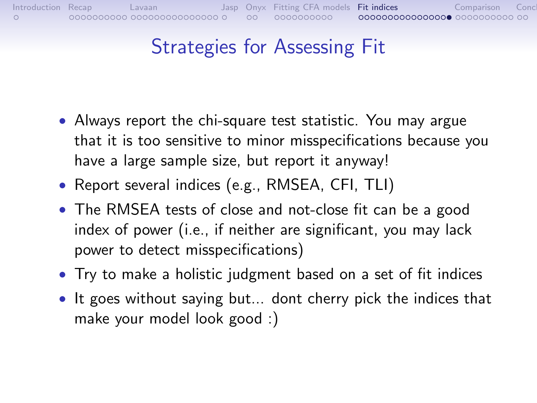# Strategies for Assessing Fit

- Always report the chi-square test statistic. You may argue that it is too sensitive to minor misspecifications because you have a large sample size, but report it anyway!
- Report several indices (e.g., RMSEA, CFI, TLI)
- The RMSEA tests of close and not-close fit can be a good index of power (i.e., if neither are significant, you may lack power to detect misspecifications)
- Try to make a holistic judgment based on a set of fit indices
- It goes without saying but... dont cherry pick the indices that make your model look good :)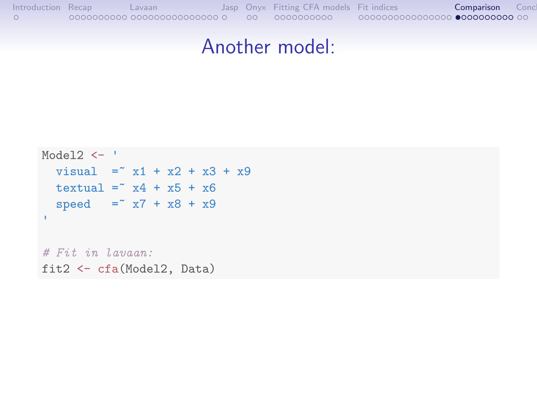#### Another model:

```
Model2 \leftarrow '
 visual = x1 + x2 + x3 + x9textual = x4 + x5 + x6speed = x7 + x8 + x9'# Fit in Lavaan:
fit2 <- cfa(Model2, Data)
```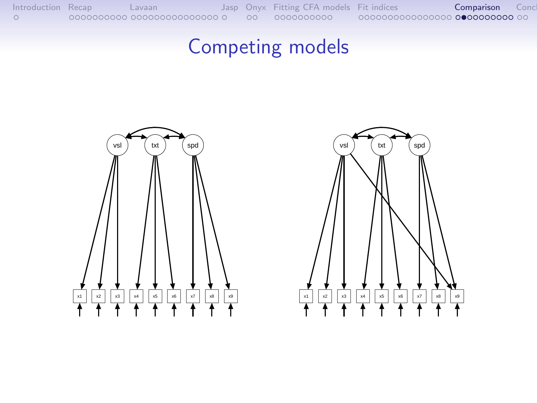## Competing models



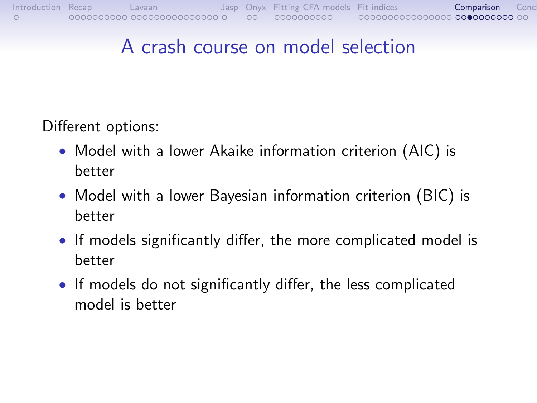## A crash course on model selection

Different options:

- Model with a lower Akaike information criterion (AIC) is better
- Model with a lower Bayesian information criterion (BIC) is better
- If models significantly differ, the more complicated model is better
- If models do not significantly differ, the less complicated model is better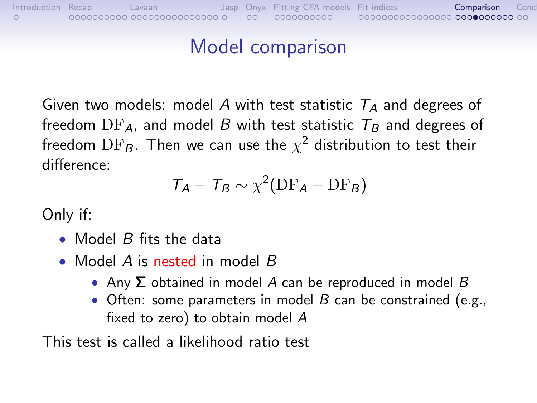## Model comparison

[Introduction](#page-0-0) [Recap](#page-1-0) [Lavaan](#page-11-0) [Jasp](#page-26-0) [Onyx](#page-27-0) [Fitting CFA models](#page-29-0) [Fit indices](#page-39-0) [Comparison](#page-55-0) [Conclusion](#page-65-0) Conclusion Conclusion Conclusion Conclusion Conclusion Conclusion Conclusion Conclusion Conclusion Conclusion Conclusion Conclusion C

Given two models: model A with test statistic  $T_A$  and degrees of freedom  $DF_A$ , and model B with test statistic  $T_B$  and degrees of freedom  $\text{DF}_\mathcal{B}.$  Then we can use the  $\chi^2$  distribution to test their difference:

$$
T_A - T_B \sim \chi^2(\text{DF}_A - \text{DF}_B)
$$

Only if:

- Model  $B$  fits the data
- Model A is nested in model B
	- Any  $\Sigma$  obtained in model A can be reproduced in model B
	- Often: some parameters in model  $B$  can be constrained (e.g., fixed to zero) to obtain model A

This test is called a likelihood ratio test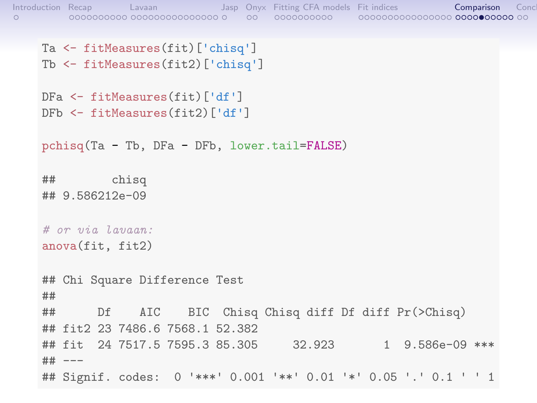```
Introduction Recap Lavaan Jasp Onyx Fitting CFA models Fit indices Comparison Conclusion
    Ta <- fitMeasures(fit)['chisq']
    Tb <- fitMeasures(fit2)['chisq']
    DFa <- fitMeasures(fit)['df']
    DFb <- fitMeasures(fit2)['df']
    pchisq(Ta - Tb, DFa - DFb, lower.tail=FALSE)
    ## chisq
    ## 9.586212e-09
    # or via Laman:anova(fit, fit2)
    ## Chi Square Difference Test
    ##
    ## Df AIC BIC Chisq Chisq diff Df diff Pr(>Chisq)
    ## fit2 23 7486.6 7568.1 52.382
    ## fit 24 7517.5 7595.3 85.305 32.923 1 9.586e-09 ***
    ## ---
    ## Signif. codes: 0 '***' 0.001 '**' 0.01 '*' 0.05 '.' 0.1 ' ' 1
```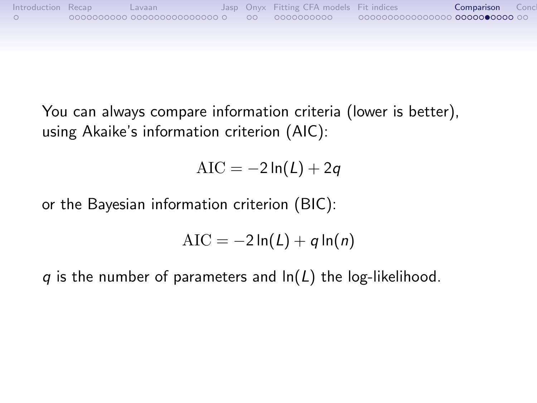

You can always compare information criteria (lower is better), using Akaike's information criterion (AIC):

 $AIC = -2 \ln(L) + 2q$ 

or the Bayesian information criterion (BIC):

$$
AIC = -2\ln(L) + q\ln(n)
$$

q is the number of parameters and  $ln(L)$  the log-likelihood.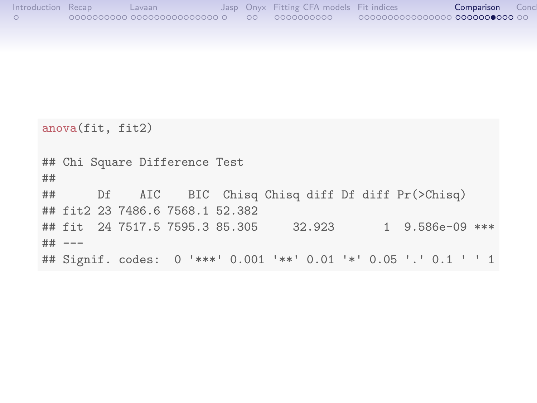| Introduction Recap | Lavaan                                |      | Jasp Onyx Fitting CFA models Fit indices |                                               | Comparison | Conc |
|--------------------|---------------------------------------|------|------------------------------------------|-----------------------------------------------|------------|------|
|                    | $\circ$ 0000000000 0000000000000000 0 | - ററ | 0000000000                               | ©©©® <b>0</b> 00000000000 <b>000000000</b> 00 |            |      |

|           |          | anova (fit, fit2)                                                |  |        |  |                        |  |
|-----------|----------|------------------------------------------------------------------|--|--------|--|------------------------|--|
| ##        |          | ## Chi Square Difference Test                                    |  |        |  |                        |  |
| <b>##</b> |          | Df AIC BIC Chisq Chisq diff Df diff Pr(>Chisq)                   |  |        |  |                        |  |
|           |          | ## fit2 23 7486.6 7568.1 52.382                                  |  |        |  |                        |  |
|           |          | ## fit 24 7517.5 7595.3 85.305                                   |  | 32.923 |  | $1\quad 9.586e-09$ *** |  |
|           | ## $---$ |                                                                  |  |        |  |                        |  |
|           |          | ## Signif. codes: 0 '***' 0.001 '**' 0.01 '*' 0.05 '.' 0.1 ' ' 1 |  |        |  |                        |  |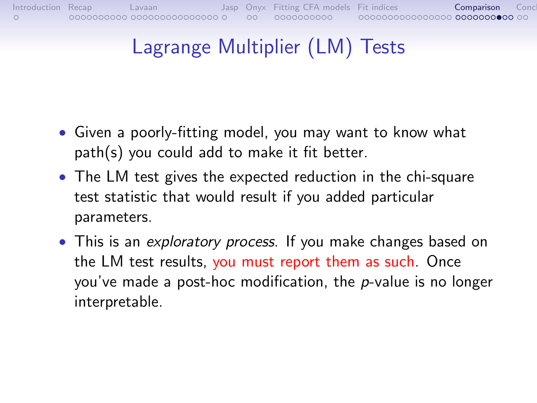# [Introduction](#page-0-0) [Recap](#page-1-0) [Lavaan](#page-11-0) [Jasp](#page-26-0) [Onyx](#page-27-0) [Fitting CFA models](#page-29-0) [Fit indices](#page-39-0) [Comparison](#page-55-0) [Conclusion](#page-65-0) Conclusion Description

# Lagrange Multiplier (LM) Tests

- Given a poorly-fitting model, you may want to know what path(s) you could add to make it fit better.
- The LM test gives the expected reduction in the chi-square test statistic that would result if you added particular parameters.
- This is an exploratory process. If you make changes based on the LM test results, you must report them as such. Once you've made a post-hoc modification, the p-value is no longer interpretable.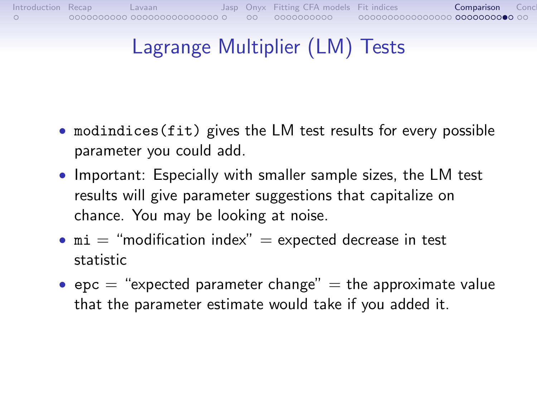# Lagrange Multiplier (LM) Tests

- modindices(fit) gives the LM test results for every possible parameter you could add.
- Important: Especially with smaller sample sizes, the LM test results will give parameter suggestions that capitalize on chance. You may be looking at noise.
- $\text{mi} = \text{``modification index''} = \text{expected decrease in test}$ statistic
- epc  $=$  "expected parameter change"  $=$  the approximate value that the parameter estimate would take if you added it.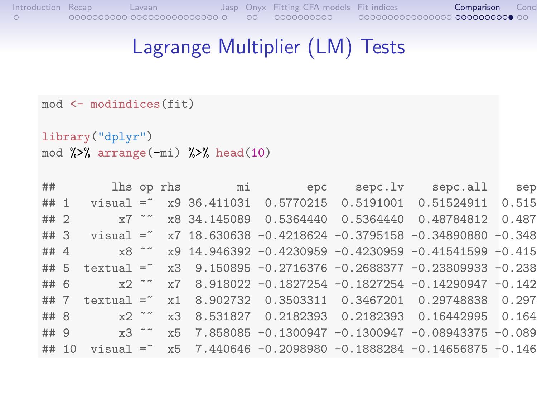#### Lagrange Multiplier (LM) Tests

```
mod <- modindices(fit)
```

```
library("dplyr")
mod %>% arrange(-mi) %>% head(10)
```

|      | $\#$ # |  |  |  |                                                                  |  |
|------|--------|--|--|--|------------------------------------------------------------------|--|
|      |        |  |  |  | ## 1 visual = x9 36.411031 0.5770215 0.5191001 0.51524911 0.515  |  |
| ## 2 |        |  |  |  |                                                                  |  |
| ##3  |        |  |  |  | visual = $x7$ 18.630638 -0.4218624 -0.3795158 -0.34890880 -0.348 |  |
| ## 4 |        |  |  |  |                                                                  |  |
| ## 5 |        |  |  |  | textual = $x3$ 9.150895 -0.2716376 -0.2688377 -0.23809933 -0.238 |  |
|      |        |  |  |  | ## 6 x2 ~ x7 8.918022 -0.1827254 -0.1827254 -0.14290947 -0.142   |  |
| ## 7 |        |  |  |  | textual = x1 8.902732 0.3503311 0.3467201 0.29748838 0.297       |  |
| ## 8 |        |  |  |  | x2 ~~ x3 8.531827 0.2182393 0.2182393 0.16442995 0.164           |  |
| ## 9 |        |  |  |  | x3 ~~ x5 7.858085 -0.1300947 -0.1300947 -0.08943375 -0.089       |  |
|      | ## 10  |  |  |  | visual = $x5$ 7.440646 -0.2098980 -0.1888284 -0.14656875 -0.146  |  |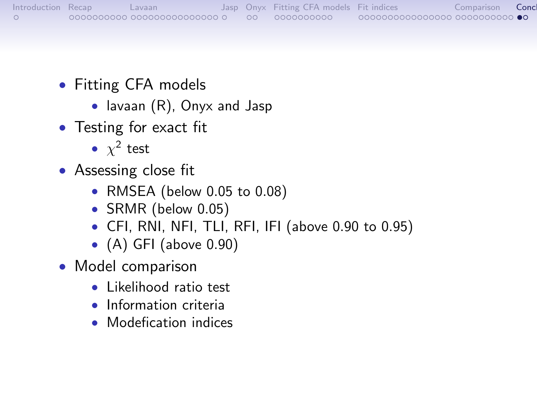- <span id="page-65-0"></span>• Fitting CFA models
	- lavaan (R), Onyx and Jasp
- Testing for exact fit
	- $\chi^2$  test
- Assessing close fit
	- RMSEA (below 0.05 to 0.08)
	- SRMR (below 0.05)
	- CFI, RNI, NFI, TLI, RFI, IFI (above 0.90 to 0.95)
	- $\bullet$  (A) GFI (above 0.90)
- Model comparison
	- Likelihood ratio test
	- Information criteria
	- Modefication indices